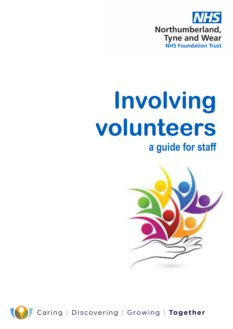

# **Involving volunteers volunteers a guide for staff**





Caring | Discovering | Growing | Together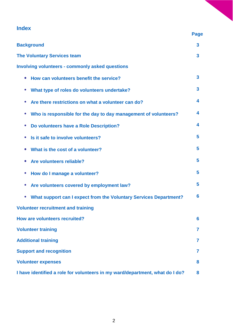# **Index**

|                                                                                | <b>Page</b> |
|--------------------------------------------------------------------------------|-------------|
| <b>Background</b>                                                              | 3           |
| <b>The Voluntary Services team</b>                                             | 3           |
| <b>Involving volunteers - commonly asked questions</b>                         |             |
| How can volunteers benefit the service?<br>$\bullet$                           | 3           |
| What type of roles do volunteers undertake?<br>$\bullet$                       | 3           |
| Are there restrictions on what a volunteer can do?                             | 4           |
| Who is responsible for the day to day management of volunteers?<br>$\bullet$   | 4           |
| Do volunteers have a Role Description?<br>$\bullet$                            | 4           |
| Is it safe to involve volunteers?<br>$\bullet$                                 | 5           |
| What is the cost of a volunteer?<br>$\bullet$                                  | 5           |
| Are volunteers reliable?                                                       | 5           |
| How do I manage a volunteer?<br>$\bullet$                                      | 5           |
| Are volunteers covered by employment law?                                      | 5           |
| What support can I expect from the Voluntary Services Department?<br>$\bullet$ | 6           |
| <b>Volunteer recruitment and training</b>                                      |             |
| <b>How are volunteers recruited?</b>                                           | 6           |
| <b>Volunteer training</b>                                                      | 7           |
| <b>Additional training</b>                                                     | 7           |
| <b>Support and recognition</b>                                                 | 7           |
| <b>Volunteer expenses</b>                                                      | 8           |
| I have identified a role for volunteers in my ward/department, what do I do?   | 8           |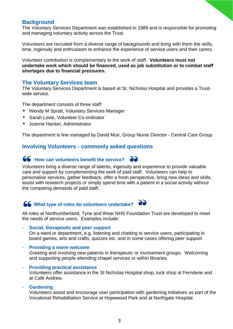## **Background**

The Voluntary Services Department was established in 1989 and is responsible for promoting and managing voluntary activity across the Trust.

Volunteers are recruited from a diverse range of backgrounds and bring with them the skills, time, ingenuity and enthusiasm to enhance the experience of service users and their carers.

Volunteer contribution is complementary to the work of staff. **Volunteers must not undertake work which should be financed, used as job substitution or to combat staff shortages due to financial pressures.** 

#### **The Voluntary Services team**

The Voluntary Services Department is based at St. Nicholas Hospital and provides a Trustwide service.

The department consists of three staff:

- Wendy M Spratt, Voluntary Services Manager
- Sarah Lovie, Volunteer Co-ordinator
- Joanne Hanlon, Administrator

The department is line managed by David Muir, Group Nurse Director - Central Care Group.

## **Involving Volunteers - commonly asked questions**

## $\bullet$  How can volunteers benefit the service?



# **66** What type of roles do volunteers undertake?  $\partial \partial$

All roles at Northumberland, Tyne and Wear NHS Foundation Trust are developed to meet the needs of service users. Examples include:

- **Social, therapeutic and peer support** 

On a ward or department, e.g. listening and chatting to service users, participating in board games, arts and crafts, quizzes etc. and in some cases offering peer support.

#### - **Providing a warm welcome**

Greeting and involving new patients in therapeutic or involvement groups. Welcoming and supporting people attending chapel services or within libraries.

#### - **Providing practical assistance**

Volunteers offer assistance in the St Nicholas Hospital shop, tuck shop at Ferndene and at Café Andrew.

- **Gardening** 

Volunteers assist and encourage user participation with gardening initiatives as part of the Vocational Rehabilitation Service at Hopewood Park and at Northgate Hospital.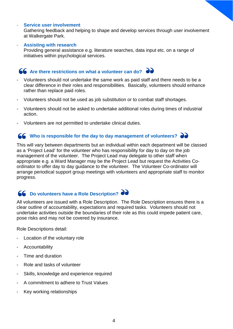#### **Service user involvement**

Gathering feedback and helping to shape and develop services through user involvement at Walkergate Park.

#### - **Assisting with research**

Providing general assistance e.g. literature searches, data input etc. on a range of initiatives within psychological services.

# **66** Are there restrictions on what a volunteer can do? <br> **••**

- Volunteers should not undertake the same work as paid staff and there needs to be a clear difference in their roles and responsibilities. Basically, volunteers should enhance rather than replace paid roles.
- Volunteers should not be used as job substitution or to combat staff shortages.
- Volunteers should not be asked to undertake additional roles during times of industrial action.
- Volunteers are not permitted to undertake clinical duties.

## **66** Who is responsible for the day to day management of volunteers?

This will vary between departments but an individual within each department will be classed as a 'Project Lead' for the volunteer who has responsibility for day to day on the job management of the volunteer. The Project Lead may delegate to other staff when appropriate e.g. a Ward Manager may be the Project Lead but request the Activities Coordinator to offer day to day guidance to the volunteer. The Volunteer Co-ordinator will arrange periodical support group meetings with volunteers and appropriate staff to monitor progress.

# **66** Do volunteers have a Role Description?

All volunteers are issued with a Role Description. The Role Description ensures there is a clear outline of accountability, expectations and required tasks. Volunteers should not undertake activities outside the boundaries of their role as this could impede patient care, pose risks and may not be covered by insurance.

Role Descriptions detail:

- Location of the voluntary role
- **Accountability**
- Time and duration
- Role and tasks of volunteer
- Skills, knowledge and experience required
- A commitment to adhere to Trust Values
- Key working relationships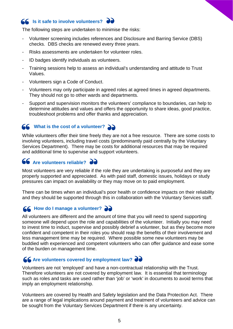# **66** Is it safe to involve volunteers? **do**

The following steps are undertaken to minimise the risks:

- Volunteer screening includes references and Disclosure and Barring Service (DBS) checks. DBS checks are renewed every three years.
- Risks assessments are undertaken for volunteer roles.
- ID badges identify individuals as volunteers.
- Training sessions help to assess an individual's understanding and attitude to Trust Values.
- Volunteers sign a Code of Conduct.
- Volunteers may only participate in agreed roles at agreed times in agreed departments. They should not go to other wards and departments.
- Support and supervision monitors the volunteers' compliance to boundaries, can help to determine attitudes and values and offers the opportunity to share ideas, good practice, troubleshoot problems and offer thanks and appreciation.

# **66** What is the cost of a volunteer? **ad**

While volunteers offer their time freely they are not a free resource. There are some costs to involving volunteers, including travel costs (predominantly paid centrally by the Voluntary Services Department). There may be costs for additional resources that may be required and additional time to supervise and support volunteers.

# **66** Are volunteers reliable? **ad**

Most volunteers are very reliable if the role they are undertaking is purposeful and they are properly supported and appreciated. As with paid staff, domestic issues, holidays or study pressures can impact on availability or they may move on to paid employment.

There can be times when an individual's poor health or confidence impacts on their reliability and they should be supported through this in collaboration with the Voluntary Services staff.

# *<u>66</u>* How do I manage a volunteer? **a**

All volunteers are different and the amount of time that you will need to spend supporting someone will depend upon the role and capabilities of the volunteer. Initially you may need to invest time to induct, supervise and possibly debrief a volunteer, but as they become more confident and competent in their roles you should reap the benefits of their involvement and less management time may be required. Where possible some new volunteers may be buddied with experienced and competent volunteers who can offer guidance and ease some of the burden on management time.

# **66 Are volunteers covered by employment law?**  $\partial \partial$

Volunteers are not 'employed' and have a non-contractual relationship with the Trust. Therefore volunteers are not covered by employment law. It is essential that terminology such as roles and tasks are used rather than 'job' or 'work' in documents to avoid terms that imply an employment relationship.

Volunteers are covered by Health and Safety legislation and the Data Protection Act. There are a range of legal implications around payment and treatment of volunteers and advice can be sought from the Voluntary Services Department if there is any uncertainty.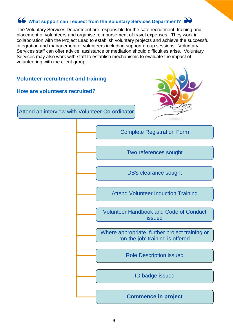# **66** What support can I expect from the Voluntary Services Department?  $\partial$

The Voluntary Services Department are responsible for the safe recruitment, training and placement of volunteers and organise reimbursement of travel expenses. They work in collaboration with the Project Lead to establish voluntary projects and achieve the successful integration and management of volunteers including support group sessions. Voluntary Services staff can offer advice, assistance or mediation should difficulties arise. Voluntary Services may also work with staff to establish mechanisms to evaluate the impact of volunteering with the client group.

## **Volunteer recruitment and training**

#### **How are volunteers recruited?**



Attend an interview with Volunteer Co-ordinator



Two references sought

DBS clearance sought

Attend Volunteer Induction Training

Volunteer Handbook and Code of Conduct issued

Where appropriate, further project training or 'on the job' training is offered

Role Description issued

ID badge issued

**Commence in project**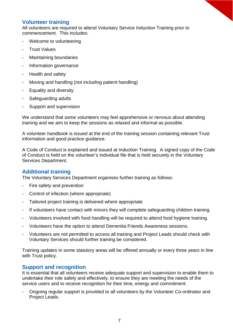# **Volunteer training**

All volunteers are required to attend Voluntary Service Induction Training prior to commencement. This includes:

- Welcome to volunteering
- **Trust Values**
- Maintaining boundaries
- Information governance
- Health and safety
- Moving and handling (not including patient handling)
- Equality and diversity
- Safeguarding adults
- Support and supervision

We understand that some volunteers may feel apprehensive or nervous about attending training and we aim to keep the sessions as relaxed and informal as possible.

A volunteer handbook is issued at the end of the training session containing relevant Trust information and good practice guidance.

A Code of Conduct is explained and issued at Induction Training. A signed copy of the Code of Conduct is held on the volunteer's individual file that is held securely in the Voluntary Services Department.

## **Additional training**

The Voluntary Services Department organises further training as follows:

- Fire safety and prevention
- Control of infection (where appropriate)
- Tailored project training is delivered where appropriate
- If volunteers have contact with minors they will complete safeguarding children training.
- Volunteers involved with food handling will be required to attend food hygiene training.
- Volunteers have the option to attend Dementia Friends Awareness sessions.
- Volunteers are not permitted to access all training and Project Leads should check with Voluntary Services should further training be considered.

Training updates in some statutory areas will be offered annually or every three years in line with Trust policy.

## **Support and recognition**

It is essential that all volunteers receive adequate support and supervision to enable them to undertake their role safely and effectively, to ensure they are meeting the needs of the service users and to receive recognition for their time, energy and commitment.

- Ongoing regular support is provided to all volunteers by the Volunteer Co-ordinator and Project Leads.